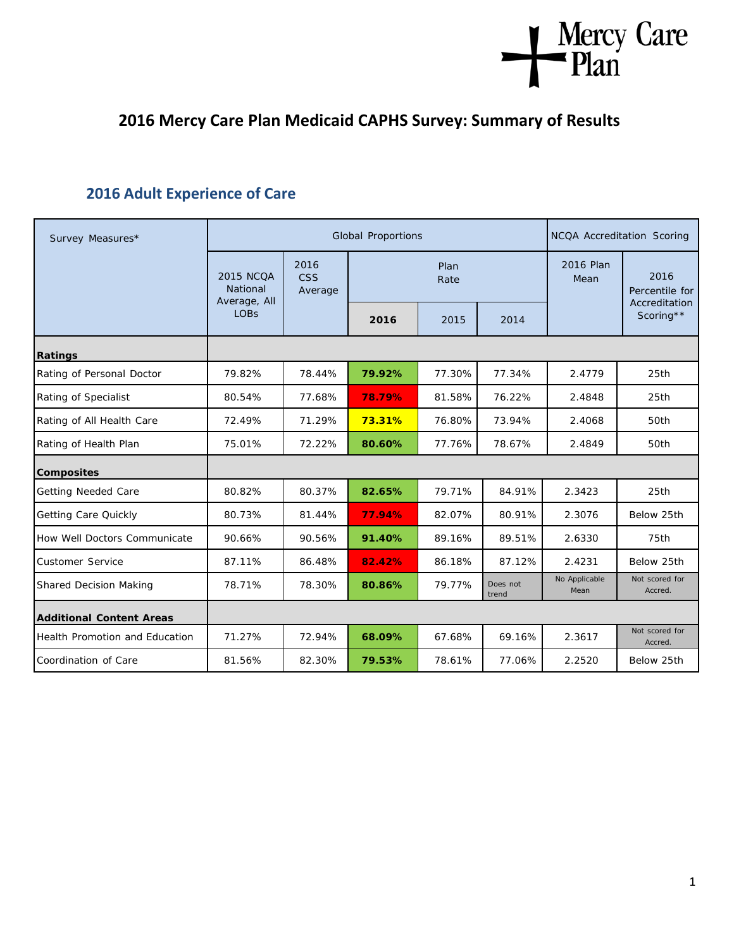# Mercy Care

## **2016 Mercy Care Plan Medicaid CAPHS Survey: Summary of Results**

### **2016 Adult Experience of Care**

| Survey Measures*                      |                                              | <b>Global Proportions</b>     | NCQA Accreditation Scoring |        |                   |                       |                            |
|---------------------------------------|----------------------------------------------|-------------------------------|----------------------------|--------|-------------------|-----------------------|----------------------------|
|                                       | <b>2015 NCQA</b><br>National<br>Average, All | 2016<br><b>CSS</b><br>Average | Plan<br>Rate               |        |                   | 2016 Plan<br>Mean     | 2016<br>Percentile for     |
|                                       | <b>LOBs</b>                                  |                               | 2016                       | 2015   | 2014              |                       | Accreditation<br>Scoring** |
| Ratings                               |                                              |                               |                            |        |                   |                       |                            |
| Rating of Personal Doctor             | 79.82%                                       | 78.44%                        | 79.92%                     | 77.30% | 77.34%            | 2.4779                | 25th                       |
| Rating of Specialist                  | 80.54%                                       | 77.68%                        | 78.79%                     | 81.58% | 76.22%            | 2.4848                | 25th                       |
| Rating of All Health Care             | 72.49%                                       | 71.29%                        | 73.31%                     | 76.80% | 73.94%            | 2.4068                | 50th                       |
| Rating of Health Plan                 | 75.01%                                       | 72.22%                        | 80.60%                     | 77.76% | 78.67%            | 2.4849                | 50th                       |
| <b>Composites</b>                     |                                              |                               |                            |        |                   |                       |                            |
| Getting Needed Care                   | 80.82%                                       | 80.37%                        | 82.65%                     | 79.71% | 84.91%            | 2.3423                | 25th                       |
| <b>Getting Care Quickly</b>           | 80.73%                                       | 81.44%                        | 77.94%                     | 82.07% | 80.91%            | 2.3076                | Below 25th                 |
| How Well Doctors Communicate          | 90.66%                                       | 90.56%                        | 91.40%                     | 89.16% | 89.51%            | 2.6330                | 75th                       |
| <b>Customer Service</b>               | 87.11%                                       | 86.48%                        | 82.42%                     | 86.18% | 87.12%            | 2.4231                | Below 25th                 |
| <b>Shared Decision Making</b>         | 78.71%                                       | 78.30%                        | 80.86%                     | 79.77% | Does not<br>trend | No Applicable<br>Mean | Not scored for<br>Accred.  |
| <b>Additional Content Areas</b>       |                                              |                               |                            |        |                   |                       |                            |
| <b>Health Promotion and Education</b> | 71.27%                                       | 72.94%                        | 68.09%                     | 67.68% | 69.16%            | 2.3617                | Not scored for<br>Accred.  |
| Coordination of Care                  | 81.56%                                       | 82.30%                        | 79.53%                     | 78.61% | 77.06%            | 2.2520                | Below 25th                 |